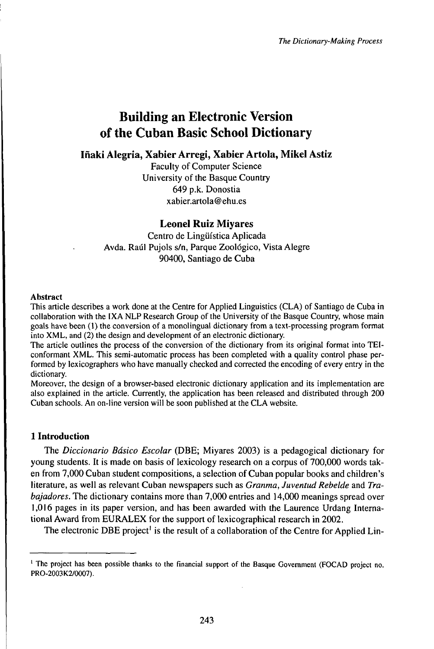# Building an Electronic Version of the Cuban Basic School Dictionary

**Iñaki Alegria, Xabier Arregi, Xabier Artola, Mikel Astiz**

Faculty of Computer Science University of the Basque Country 649 p.k. Donostia xabier.artola@ehu.es

# **Leonel Ruiz Miyares**

Centro de Lingüística Aplicada Avda. Raúl Pujols s/n, Parque Zoológico, Vista Alegre 90400, Santiago de Cuba

## **Abstract**

This article describes a work done at the Centre for Applied Linguistics (CLA) of Santiago de Cuba in collaboration with the IXA NLP Research Group of the University of the Basque Country, whose main goals have been (1) the conversion of a monolingual dictionary from a text-processing program format into XML, and (2) the design and development of an electronic dictionary.

The article outlines the process of the conversion of the dictionary from its original format into TEIconformant XML. This semi-automatic process has been completed with a quality control phase performed by lexicographers who have manually checked and corrected the encoding of every entry in the dictionary.

Moreover, the design of a browser-based electronic dictionary application and its implementation are also explained in the article. Currently, the application has been released and distributed through 200 Cuban schools. An on-line version will be soon published at the CLA website.

# **1 Introduction**

The *Diccionario Básico Escolar* (DBE; Miyares 2003) is a pedagogical dictionary for young students. It is made on basis of lexicology research on a corpus of 700,000 words taken from 7,000 Cuban student compositions, a selection of Cuban popular books and children's literature, as well as relevant Cuban newspapers such as *Granma, Juventud Rebelde* and *Trabajadores.* The dictionary contains more than 7,000 entries and 14,000 meanings spread over 1,016 pages in its paper version, and has been awarded with the Laurence Urdang International Award from EURALEX for the support of lexicographical research in 2002.

The electronic DBE project<sup>1</sup> is the result of a collaboration of the Centre for Applied Lin-

<sup>&</sup>lt;sup>1</sup> The project has been possible thanks to the financial support of the Basque Government (FOCAD project no. PRO-2003K2/0007).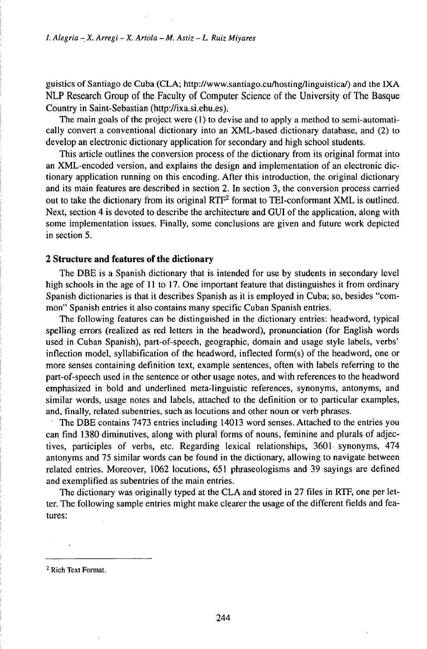guistics of Santiago de Cuba (CLA; http://www.santiago.cu/hosting/linguistica/) and the IXA NLP Research Group of the Faculty of Computer Science of the University of The Basque Country in Saint-Sebastian (http://ixa.si.ehu.es).

The main goals of the project were (1) to devise and to apply a method to semi-automatically convert a conventional dictionary into an XML-based dictionary database, and (2) to develop an electronic dictionary application for secondary and high school students.

This article outlines the conversion process of the dictionary from its original format into an XML-encoded version, and explains the design and implementation of an electronic dictionary application running on this encoding. After this introduction, the original dictionary and its main features are described in section 2. In section 3, the conversion process carried out to take the dictionary from its original  $\text{RTF}^2$  format to TEI-conformant XML is outlined. Next, section 4 is devoted to describe the architecture and GUI of the application, along with some implementation issues. Finally, some conclusions are given and future work depicted in section 5.

## **2 Structure and features of the dictionary**

The DBE is a Spanish dictionary that is intended for use by students in secondary level high schools in the age of 11 to 17. One important feature that distinguishes it from ordinary Spanish dictionaries is that it describes Spanish as it is employed in Cuba; so, besides "common" Spanish entries it also contains many specific Cuban Spanish entries.

The following features can be distinguished in the dictionary entries: headword, typical spelling errors (realized as red letters in the headword), pronunciation (for English words used in Cuban Spanish), part-of-speech, geographic, domain and usage style labels, verbs' inflection model, syllabification of the headword, inflected form(s) of the headword, one or more senses containing definition text, example sentences, often with labels referring to the part-of-speech used in the sentence or other usage notes, and with references to the headword emphasized in bold and underlined meta-linguistic references, synonyms, antonyms, and similar words, usage notes and labels, attached to the definition or to particular examples, and, finally, related subentries, such as locutions and other noun or verb phrases.

The DBE contains 7473 entries including 14013 word senses. Attached to the entries you can find 1380 diminutives, along with plural forms of nouns, feminine and plurals of adjectives, participles of verbs, etc. Regarding lexical relationships, 3601 synonyms, 474 antonyms and 75 similar words can be found in the dictionary, allowing to navigate between related entries. Moreover, 1062 locutions, 651 phraseologisms and 39 sayings are defined and exemplified as subentries of the main entries.

The dictionary was originally typed at the CLA and stored in 27 files in RTF, one per letter. The following sample entries might make clearer the usage of the different fields and features:

<sup>2</sup> Rich Text Format.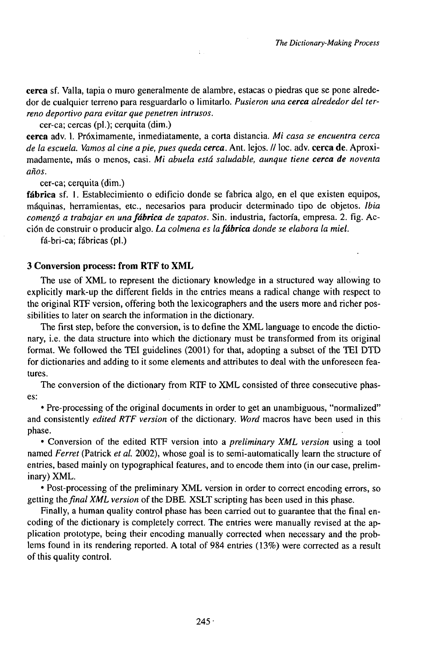**cerca** sf. Valla, tapia o muro generalmente de alambre, estacas o piedras que se pone alrededor de cualquier terreno para resguardarlo o limitarlo. *Pusieron una cerca alrededor del terreno deportivo para evitar que penetren intrusos.*

÷

cer-ca; cercas (pl.); cerquita (dim.)

**cerca** adv. 1. Próximamente, inmediatamente, a corta distancia. *Mi casa se encuentra cerca de la escuela. Vamos al cineapie, pues queda cerca.* Ant. lejos. // loc. adv. **cerca** de. Aproximadamente, más o menos, casi. *Mi abuela está saludable, aunque tiene cerca de noventa años.*

cer-ca; cerquita (dim.)

**fábrica** sf. **1.** Establecimiento o edificio donde se fabrica algo, en el que existen equipos, máquinas, herramientas, etc., necesarios para producir determinado tipo de objetos, *lbia comenzó a trabajar en unafábrica de zapatos.* Sin. industria, factoría, empresa. 2. fig. Acción de construir o producir algo. *La colmena es lafábrica donde se elabora la miel.*

fá-bri-ca; fábricas **(pl.)**

#### **3 Conversion process: from RTF to XML**

The use of XML to represent the dictionary knowledge in a structured way allowing to explicitly mark-up the different fields in the entries means a radical change with respect to the original RTF version, offering both the lexicographers and the users more and richer possibilities to later on search the information in the dictionary.

The first step, before the conversion, is to define the XML language to encode the dictionary, i.e. the data structure into which the dictionary must be transformed from its original format. We followed the TEI guidelines (2001) for that, adopting a subset of the TEI DTD for dictionaries and adding to it some elements and attributes to deal with the unforeseen features.

The conversion of the dictionary from RTF to XML consisted of three consecutive phases:

• Pre-processing of the original documents in order to get an unambiguous, "normalized" and consistently *edited RTF version* of the dictionary. *Word* macros have been used in this phase.

• Conversion of the edited RTF version into a *preliminary XML version* using a tool named *Ferret* (Patrick *et al.* 2002), whose goal is to semi-automatically learn the structure of entries, based mainly on typographical features, and to encode them into (in our case, preliminary) XML.

• Post-processing of the preliminary XML version in order to correct encoding errors, so getting *thefinal XML version* of the DBE. XSLT scripting has been used in this phase.

Finally, a human quality control phase has been carried out to guarantee that the final encoding of the dictionary is completely correct. The entries were manually revised at the application prototype, being their encoding manually corrected when necessary and the problems found in its rendering reported. A total of 984 entries (13%) were corrected as a result of this quality control.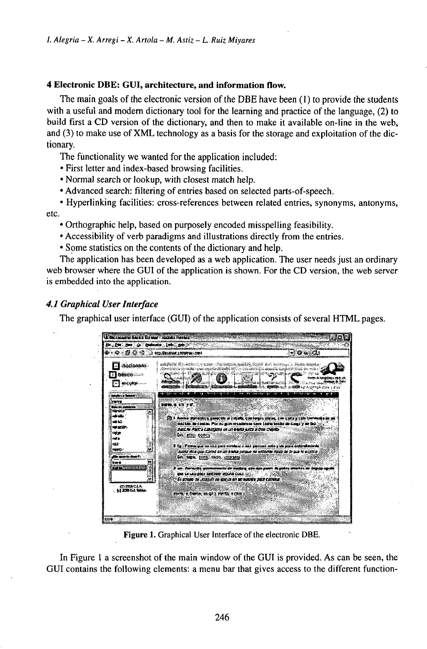# **4 Electronic DBE: GUI, architecture, and information flow.**

The main goals of the electronic version of the DBE have been (1) to provide the students with a useful and modern dictionary tool for the learning and practice of the language, (2) to build first a CD version of the dictionary, and then to make it available on-line in the web, and (3) to make use of XML technology as a basis for the storage and exploitation of the dictionary.

The functionality we wanted for the application included:

- First letter and index-based browsing facilities.
- Normal search or lookup, with closest match help.
- Advanced search: filtering of entries based on selected parts-of-speech.

• Hyperlinking facilities: cross-references between related entries, synonyms, antonyms, etc.

• Orthographic help, based on purposely encoded misspelling feasibility.

- Accessibility of verb paradigms and illustrations directly from the entries.
- Some statistics on the contents of the dictionary and help.

The application has been developed as a web application. The user needs just an ordinary web browser where the GUI of the application is shown. For the CD version, the web server is embedded into the application.

# *4.1 Graphical UserInterface*

The graphical user interface (GUI) of the application consists of several HTML pages.



**Figure** 1. Graphical User Interface of the electronic DBE.

In Figure <sup>1</sup> a screenshot of the main window of the GUI is provided. As can be seen, the GUI contains the following elements: a menu bar that gives access to the different function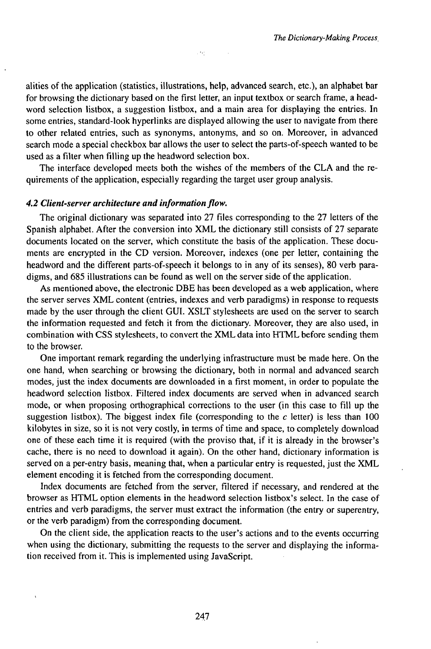alities of the application (statistics, illustrations, help, advanced search, etc.), an alphabet bar for browsing the dictionary based on the first letter, an input textbox or search frame, a headword selection listbox, a suggestion listbox, and a main area for displaying the entries. In some entries, standard-look hyperlinks are displayed allowing the user to navigate from there to other related entries, such as synonyms, antonyms, and so on. Moreover, in advanced search mode a special checkbox bar allows the user to select the parts-of-speech wanted to be used as a filter when filling up the headword selection box.

ok)

The interface developed meets both the wishes of the members of the CLA and the requirements of the application, especially regarding the target user group analysis.

## *4.2 Client-server architecture and informationflow.*

The original dictionary was separated into 27 files corresponding to the 27 letters of the Spanish alphabet. After the conversion into XML the dictionary still consists of 27 separate documents located on the server, which constitute the basis of the application. These documents are encrypted in the CD version. Moreover, indexes (one per letter, containing the headword and the different parts-of-speech it belongs to in any of its senses), 80 verb paradigms, and 685 illustrations can be found as well on the server side of the application.

As mentioned above, the electronic DBE has been developed as a web application, where the server serves XML content (entries, indexes and verb paradigms) in response to requests made by the user through the client GUI. XSLT stylesheets are used on the server to search the information requested and fetch it from the dictionary. Moreover, they are also used, in combination with CSS stylesheets, to convert the XML data into HTML before sending them to the browser.

One important remark regarding the underlying infrastructure must be made here. On the one hand, when searching or browsing the dictionary, both in normal and advanced search modes, just the index documents are downloaded in a first moment, in order to populate the headword selection listbox. Filtered index documents are served when in advanced search mode, or when proposing orthographical corrections to the user (in this case to fill up the suggestion listbox). The biggest index file (corresponding to the  $c$  letter) is less than 100 kilobytes in size, so it is not very costly, in terms of time and space, to completely download one of these each time it is required (with the proviso that, if it is already in the browser's cache, there is no need to download it again). On the other hand, dictionary information is served on a per-entry basis, meaning that, when a particular entry is requested, just the XML element encoding it is fetched from the corresponding document.

Index documents are fetched from the server, filtered if necessary, and rendered at the browser as HTML option elements in the headword selection listbox's select. In the case of entries and verb paradigms, the server must extract the information (the entry or superentry, or the verb paradigm) from the corresponding document.

On the client side, the application reacts to the user's actions and to the events occurring when using the dictionary, submitting the requests to the server and displaying the information received from it. This is implemented using JavaScript.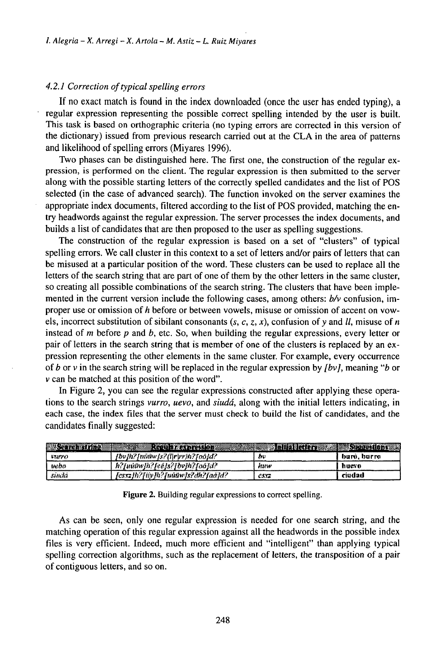## *4.2.1 Correction oftypicalspelling errors*

If no exact match is found in the index downloaded (once the user has ended typing), a regular expression representing the possible correct spelling intended by the user is built. This task is based on orthographic criteria (no typing errors are corrected in this version of the dictionary) issued from previous research carried out at the CLA in the area of patterns and likelihood of spelling errors (Miyares 1996).

Two phases can be distinguished here. The first one, the construction of the regular expression, is performed on the client. The regular expression is then submitted to the server along with the possible starting letters of the correctly spelled candidates and the list of POS selected (in the case of advanced search). The function invoked on the server examines the appropriate index documents, filtered according to the list of POS provided, matching the entry headwords against the regular expression. The server processes the index documents, and builds a list of candidates that are then proposed to the user as spelling suggestions.

The construction of the regular expression is based on a set of "clusters" of typical spelling errors. We call cluster in this context to a set of letters and/or pairs of letters that can be misused at a particular position of the word. These clusters can be used to replace all the letters of the search string that are part of one of them by the other letters in the same cluster, so creating all possible combinations of the search string. The clusters that have been implemented in the current version include the following cases, among others: *b/v* confusion, improper use or omission of *h* before or between vowels, misuse or omission of accent on vowels, incorrect substitution of sibilant consonants  $(s, c, z, x)$ , confusion of y and *ll*, misuse of *n* instead of m before *p* and *b,* etc. So, when building the regular expressions, every letter or pair of letters in the search string that is member of one of the clusters is replaced by an expression representing the other elements in the same cluster. For example, every occurrence of *b* or v in the search string will be replaced in the regular expression by *[bv],* meaning *"b* or <sup>v</sup> can be matched at this position of the word".

In Figure 2, you can see the regular expressions constructed after applying these operations to the search strings *vurro, uevo,* and *siudá,* along with the initial letters indicating, in each case, the index files that the server must check to build the list of candidates, and the candidates finally suggested:

|                | each case, the muex files that the server must check to bund the fist of candidates, and the<br>candidates finally suggested: |      |                                   |
|----------------|-------------------------------------------------------------------------------------------------------------------------------|------|-----------------------------------|
|                |                                                                                                                               |      |                                   |
| <b>EXAMPLE</b> | Regular expression and<br><b>STATISTICS</b>                                                                                   |      | <b>Manufacture of Secondary A</b> |
| <b>LTUTY</b>   | fbvfh?fnäñwfs?Alr rrJh?foô}d?-                                                                                                | ħυ   | burð, burra                       |
| webo           | h?fuú@wfh?feéJs?fbvJh?foôJd?                                                                                                  | huw  | huevo                             |
| sinda          | [esxz]h?[iiy]h?[núüw]s?dh?fad]d?                                                                                              | CSYT | ciudad                            |

Figure 2. Building regular expressions to correct spelling.

As can be seen, only one regular expression is needed for one search string, and the matching operation of this regular expression against all the headwords in the possible index files is very efficient. Indeed, much more efficient and "intelligent" than applying typical spelling correction algorithms, such as the replacement of letters, the transposition of a pair of contiguous letters, and so on.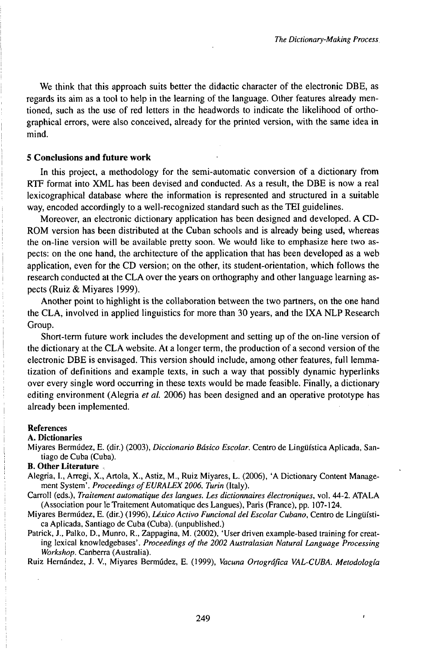We think that this approach suits better the didactic character of the electronic DBE, as regards its aim as a tool to help in the learning of the language. Other features already mentioned, such as the use of red letters in the headwords to indicate the likelihood of orthographical errors, were also conceived, already for the printed version, with the same idea in mind.

## **5 Conclusions and future work**

In this project, a methodology for the semi-automatic conversion of a dictionary from RTF format into XML has been devised and conducted. As a result, the DBE is now a real lexicographical database where the information is represented and structured in a suitable way, encoded accordingly to a well-recognized standard such as the TEI guidelines.

Moreover, an electronic dictionary application has been designed and developed. A CD-ROM version has been distributed at the Cuban schools and is already being used, whereas the on-line version will be available pretty soon. We would like to emphasize here two aspects: on the one hand, the architecture of the application that has been developed as a web application, even for the CD version; on the other, its student-orientation, which follows the research conducted at the CLA over the years on orthography and other language learning aspects (Ruiz & Miyares 1999).

Another point to highlight is the collaboration between the two partners, on the one hand the CLA, involved in applied linguistics for more than 30 years, and the IXA NLP Research Group.

Short-term future work includes the development and setting up of the on-line version of the dictionary at the CLA website. At a longer term, the production of a second version of the electronic DBE is envisaged. This version should include, among other features, full lemmatization of definitions and example texts, in such a way that possibly dynamic hyperlinks over every single word occurring in these texts would be made feasible. Finally, a dictionary editing environment (Alegria *et al.* 2006) has been designed and an operative prototype has already been implemented.

#### References

#### A. Dictionaries

Miyares Bermúdez, E. (dir.) (2003), *Diccionario Básico Escolar.* Centro de Lingüística Aplicada, Santiago de Cuba (Cuba).

# B. **Other** Literature ,

- Alegria, I., Arregi, X., Artola, X., Astiz, M., Ruiz Miyares, L. (2006), 'A Dictionary Content Management System'. Proceedings of EURALEX 2006. Turin (Italy).
- Carroll (eds.), *Traitement automatique des langues. Les dictionnaires électroniques,* vol. 44-2. ATALA (Association pour le Traitement Automatique des Langues), Paris (France), pp. 107-124.
- Miyares Bermúdez, E. (dir.) (1996), *Léxico Activo Funcional del Escolar Cubano*, Centro de Lingüística Aplicada, Santiago de Cuba (Cuba), (unpublished.)
- Patrick, J., Palko, D., Munro, R., Zappagina, M. (2002), 'User driven example-based training for creating lexical knowledgebases'. *Proceedings ofthe 2002 Australasian Natural Language Processing Workshop.* Canberra (Australia).

Ruiz Hernández, J. V., Miyares Bermúdez, E. (1999), *Vacuna Ortográfica VAL-CUBA. Metodología*